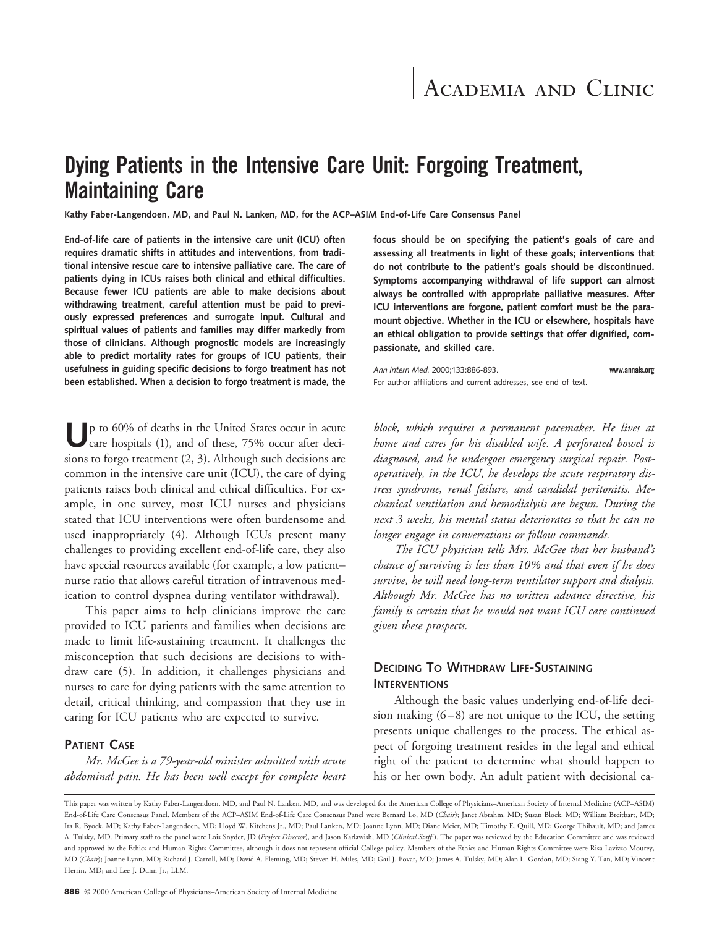# **Dying Patients in the Intensive Care Unit: Forgoing Treatment, Maintaining Care**

**Kathy Faber-Langendoen, MD, and Paul N. Lanken, MD, for the ACP–ASIM End-of-Life Care Consensus Panel**

**End-of-life care of patients in the intensive care unit (ICU) often requires dramatic shifts in attitudes and interventions, from traditional intensive rescue care to intensive palliative care. The care of patients dying in ICUs raises both clinical and ethical difficulties. Because fewer ICU patients are able to make decisions about withdrawing treatment, careful attention must be paid to previously expressed preferences and surrogate input. Cultural and spiritual values of patients and families may differ markedly from those of clinicians. Although prognostic models are increasingly able to predict mortality rates for groups of ICU patients, their usefulness in guiding specific decisions to forgo treatment has not been established. When a decision to forgo treatment is made, the**

**focus should be on specifying the patient's goals of care and assessing all treatments in light of these goals; interventions that do not contribute to the patient's goals should be discontinued. Symptoms accompanying withdrawal of life support can almost always be controlled with appropriate palliative measures. After ICU interventions are forgone, patient comfort must be the paramount objective. Whether in the ICU or elsewhere, hospitals have an ethical obligation to provide settings that offer dignified, compassionate, and skilled care.**

*Ann Intern Med.* 2000;133:886-893. **www.annals.org** For author affiliations and current addresses, see end of text.

**U**p to 60% of deaths in the United States occur in acute care hospitals (1), and of these, 75% occur after decisions to forgo treatment (2, 3). Although such decisions are common in the intensive care unit (ICU), the care of dying patients raises both clinical and ethical difficulties. For example, in one survey, most ICU nurses and physicians stated that ICU interventions were often burdensome and used inappropriately (4). Although ICUs present many challenges to providing excellent end-of-life care, they also have special resources available (for example, a low patient– nurse ratio that allows careful titration of intravenous medication to control dyspnea during ventilator withdrawal).

This paper aims to help clinicians improve the care provided to ICU patients and families when decisions are made to limit life-sustaining treatment. It challenges the misconception that such decisions are decisions to withdraw care (5). In addition, it challenges physicians and nurses to care for dying patients with the same attention to detail, critical thinking, and compassion that they use in caring for ICU patients who are expected to survive.

### **PATIENT CASE**

*Mr. McGee is a 79-year-old minister admitted with acute abdominal pain. He has been well except for complete heart* *block, which requires a permanent pacemaker. He lives at home and cares for his disabled wife. A perforated bowel is diagnosed, and he undergoes emergency surgical repair. Postoperatively, in the ICU, he develops the acute respiratory distress syndrome, renal failure, and candidal peritonitis. Mechanical ventilation and hemodialysis are begun. During the next 3 weeks, his mental status deteriorates so that he can no longer engage in conversations or follow commands.*

*The ICU physician tells Mrs. McGee that her husband's chance of surviving is less than 10% and that even if he does survive, he will need long-term ventilator support and dialysis. Although Mr. McGee has no written advance directive, his family is certain that he would not want ICU care continued given these prospects.*

# **DECIDING TO WITHDRAW LIFE-SUSTAINING INTERVENTIONS**

Although the basic values underlying end-of-life decision making (6–8) are not unique to the ICU, the setting presents unique challenges to the process. The ethical aspect of forgoing treatment resides in the legal and ethical right of the patient to determine what should happen to his or her own body. An adult patient with decisional ca-

This paper was written by Kathy Faber-Langendoen, MD, and Paul N. Lanken, MD, and was developed for the American College of Physicians–American Society of Internal Medicine (ACP–ASIM) End-of-Life Care Consensus Panel. Members of the ACP–ASIM End-of-Life Care Consensus Panel were Bernard Lo, MD (*Chair*); Janet Abrahm, MD; Susan Block, MD; William Breitbart, MD; Ira R. Byock, MD; Kathy Faber-Langendoen, MD; Lloyd W. Kitchens Jr., MD; Paul Lanken, MD; Joanne Lynn, MD; Diane Meier, MD; Timothy E. Quill, MD; George Thibault, MD; and James A. Tulsky, MD. Primary staff to the panel were Lois Snyder, JD (*Project Director*), and Jason Karlawish, MD (*Clinical Staff* ). The paper was reviewed by the Education Committee and was reviewed and approved by the Ethics and Human Rights Committee, although it does not represent official College policy. Members of the Ethics and Human Rights Committee were Risa Lavizzo-Mourey, MD (*Chair*); Joanne Lynn, MD; Richard J. Carroll, MD; David A. Fleming, MD; Steven H. Miles, MD; Gail J. Povar, MD; James A. Tulsky, MD; Alan L. Gordon, MD; Siang Y. Tan, MD; Vincent Herrin, MD; and Lee J. Dunn Jr., LLM.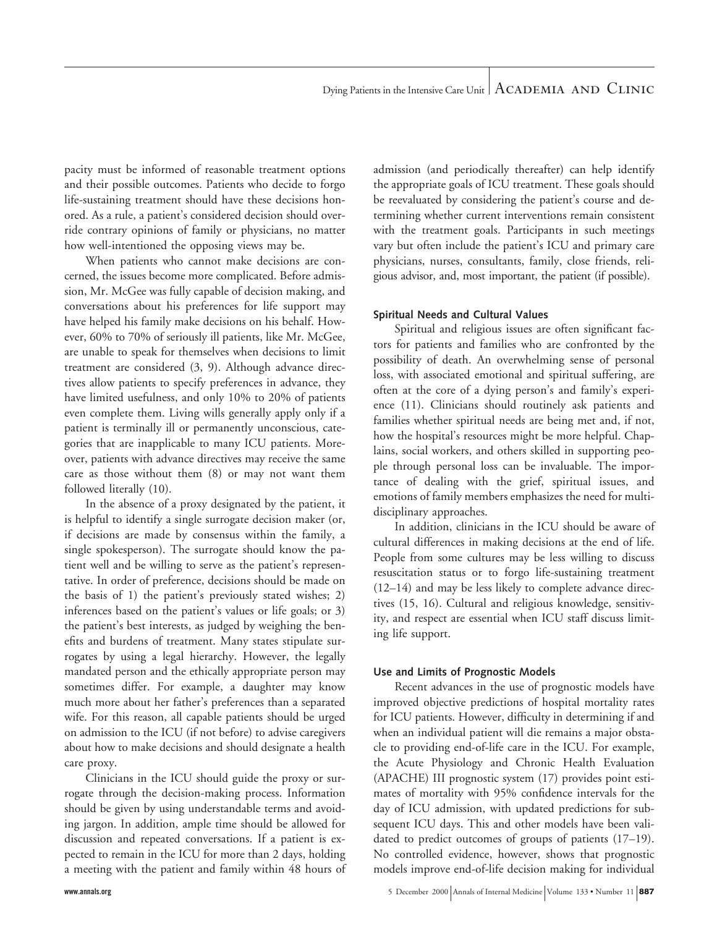pacity must be informed of reasonable treatment options and their possible outcomes. Patients who decide to forgo life-sustaining treatment should have these decisions honored. As a rule, a patient's considered decision should override contrary opinions of family or physicians, no matter how well-intentioned the opposing views may be.

When patients who cannot make decisions are concerned, the issues become more complicated. Before admission, Mr. McGee was fully capable of decision making, and conversations about his preferences for life support may have helped his family make decisions on his behalf. However, 60% to 70% of seriously ill patients, like Mr. McGee, are unable to speak for themselves when decisions to limit treatment are considered (3, 9). Although advance directives allow patients to specify preferences in advance, they have limited usefulness, and only 10% to 20% of patients even complete them. Living wills generally apply only if a patient is terminally ill or permanently unconscious, categories that are inapplicable to many ICU patients. Moreover, patients with advance directives may receive the same care as those without them (8) or may not want them followed literally (10).

In the absence of a proxy designated by the patient, it is helpful to identify a single surrogate decision maker (or, if decisions are made by consensus within the family, a single spokesperson). The surrogate should know the patient well and be willing to serve as the patient's representative. In order of preference, decisions should be made on the basis of 1) the patient's previously stated wishes; 2) inferences based on the patient's values or life goals; or 3) the patient's best interests, as judged by weighing the benefits and burdens of treatment. Many states stipulate surrogates by using a legal hierarchy. However, the legally mandated person and the ethically appropriate person may sometimes differ. For example, a daughter may know much more about her father's preferences than a separated wife. For this reason, all capable patients should be urged on admission to the ICU (if not before) to advise caregivers about how to make decisions and should designate a health care proxy.

Clinicians in the ICU should guide the proxy or surrogate through the decision-making process. Information should be given by using understandable terms and avoiding jargon. In addition, ample time should be allowed for discussion and repeated conversations. If a patient is expected to remain in the ICU for more than 2 days, holding a meeting with the patient and family within 48 hours of admission (and periodically thereafter) can help identify the appropriate goals of ICU treatment. These goals should be reevaluated by considering the patient's course and determining whether current interventions remain consistent with the treatment goals. Participants in such meetings vary but often include the patient's ICU and primary care physicians, nurses, consultants, family, close friends, religious advisor, and, most important, the patient (if possible).

#### **Spiritual Needs and Cultural Values**

Spiritual and religious issues are often significant factors for patients and families who are confronted by the possibility of death. An overwhelming sense of personal loss, with associated emotional and spiritual suffering, are often at the core of a dying person's and family's experience (11). Clinicians should routinely ask patients and families whether spiritual needs are being met and, if not, how the hospital's resources might be more helpful. Chaplains, social workers, and others skilled in supporting people through personal loss can be invaluable. The importance of dealing with the grief, spiritual issues, and emotions of family members emphasizes the need for multidisciplinary approaches.

In addition, clinicians in the ICU should be aware of cultural differences in making decisions at the end of life. People from some cultures may be less willing to discuss resuscitation status or to forgo life-sustaining treatment (12–14) and may be less likely to complete advance directives (15, 16). Cultural and religious knowledge, sensitivity, and respect are essential when ICU staff discuss limiting life support.

#### **Use and Limits of Prognostic Models**

Recent advances in the use of prognostic models have improved objective predictions of hospital mortality rates for ICU patients. However, difficulty in determining if and when an individual patient will die remains a major obstacle to providing end-of-life care in the ICU. For example, the Acute Physiology and Chronic Health Evaluation (APACHE) III prognostic system (17) provides point estimates of mortality with 95% confidence intervals for the day of ICU admission, with updated predictions for subsequent ICU days. This and other models have been validated to predict outcomes of groups of patients (17–19). No controlled evidence, however, shows that prognostic models improve end-of-life decision making for individual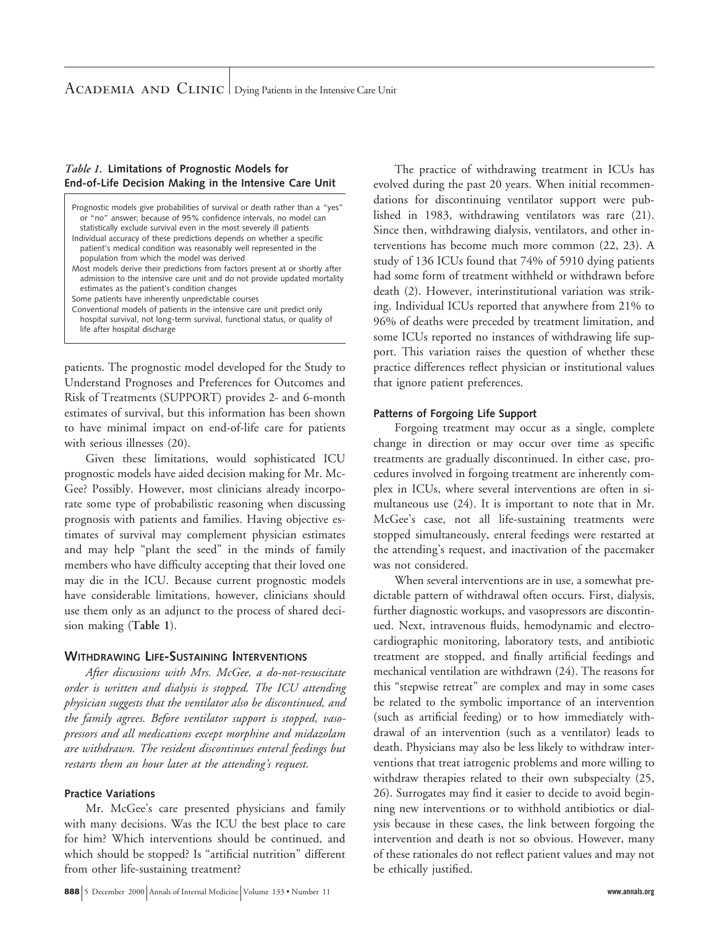## *Table 1.* **Limitations of Prognostic Models for End-of-Life Decision Making in the Intensive Care Unit**

| Prognostic models give probabilities of survival or death rather than a "yes"<br>or "no" answer; because of 95% confidence intervals, no model can<br>statistically exclude survival even in the most severely ill patients |
|-----------------------------------------------------------------------------------------------------------------------------------------------------------------------------------------------------------------------------|
| Individual accuracy of these predictions depends on whether a specific                                                                                                                                                      |
| patient's medical condition was reasonably well represented in the                                                                                                                                                          |
| population from which the model was derived                                                                                                                                                                                 |
| Most models derive their predictions from factors present at or shortly after<br>admission to the intensive care unit and do not provide updated mortality<br>estimates as the patient's condition changes                  |
| Some patients have inherently unpredictable courses                                                                                                                                                                         |
| Conventional models of patients in the intensive care unit predict only                                                                                                                                                     |
| hospital survival, not long-term survival, functional status, or quality of                                                                                                                                                 |
| life after hospital discharge                                                                                                                                                                                               |

patients. The prognostic model developed for the Study to Understand Prognoses and Preferences for Outcomes and Risk of Treatments (SUPPORT) provides 2- and 6-month estimates of survival, but this information has been shown to have minimal impact on end-of-life care for patients with serious illnesses (20).

Given these limitations, would sophisticated ICU prognostic models have aided decision making for Mr. Mc-Gee? Possibly. However, most clinicians already incorporate some type of probabilistic reasoning when discussing prognosis with patients and families. Having objective estimates of survival may complement physician estimates and may help "plant the seed" in the minds of family members who have difficulty accepting that their loved one may die in the ICU. Because current prognostic models have considerable limitations, however, clinicians should use them only as an adjunct to the process of shared decision making (**Table 1**).

# **WITHDRAWING LIFE-SUSTAINING INTERVENTIONS**

*After discussions with Mrs. McGee, a do-not-resuscitate order is written and dialysis is stopped. The ICU attending physician suggests that the ventilator also be discontinued, and the family agrees. Before ventilator support is stopped, vasopressors and all medications except morphine and midazolam are withdrawn. The resident discontinues enteral feedings but restarts them an hour later at the attending's request.*

# **Practice Variations**

Mr. McGee's care presented physicians and family with many decisions. Was the ICU the best place to care for him? Which interventions should be continued, and which should be stopped? Is "artificial nutrition" different from other life-sustaining treatment?

The practice of withdrawing treatment in ICUs has evolved during the past 20 years. When initial recommendations for discontinuing ventilator support were published in 1983, withdrawing ventilators was rare (21). Since then, withdrawing dialysis, ventilators, and other interventions has become much more common (22, 23). A study of 136 ICUs found that 74% of 5910 dying patients had some form of treatment withheld or withdrawn before death (2). However, interinstitutional variation was striking. Individual ICUs reported that anywhere from 21% to 96% of deaths were preceded by treatment limitation, and some ICUs reported no instances of withdrawing life support. This variation raises the question of whether these practice differences reflect physician or institutional values that ignore patient preferences.

# **Patterns of Forgoing Life Support**

Forgoing treatment may occur as a single, complete change in direction or may occur over time as specific treatments are gradually discontinued. In either case, procedures involved in forgoing treatment are inherently complex in ICUs, where several interventions are often in simultaneous use (24). It is important to note that in Mr. McGee's case, not all life-sustaining treatments were stopped simultaneously, enteral feedings were restarted at the attending's request, and inactivation of the pacemaker was not considered.

When several interventions are in use, a somewhat predictable pattern of withdrawal often occurs. First, dialysis, further diagnostic workups, and vasopressors are discontinued. Next, intravenous fluids, hemodynamic and electrocardiographic monitoring, laboratory tests, and antibiotic treatment are stopped, and finally artificial feedings and mechanical ventilation are withdrawn (24). The reasons for this "stepwise retreat" are complex and may in some cases be related to the symbolic importance of an intervention (such as artificial feeding) or to how immediately withdrawal of an intervention (such as a ventilator) leads to death. Physicians may also be less likely to withdraw interventions that treat iatrogenic problems and more willing to withdraw therapies related to their own subspecialty (25, 26). Surrogates may find it easier to decide to avoid beginning new interventions or to withhold antibiotics or dialysis because in these cases, the link between forgoing the intervention and death is not so obvious. However, many of these rationales do not reflect patient values and may not be ethically justified.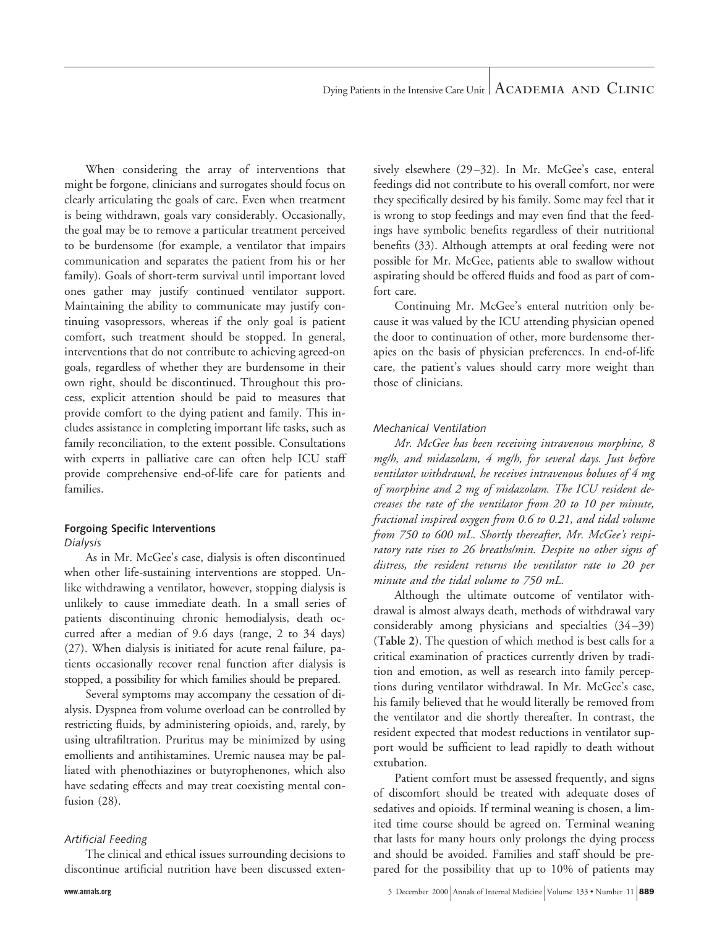When considering the array of interventions that might be forgone, clinicians and surrogates should focus on clearly articulating the goals of care. Even when treatment is being withdrawn, goals vary considerably. Occasionally, the goal may be to remove a particular treatment perceived to be burdensome (for example, a ventilator that impairs communication and separates the patient from his or her family). Goals of short-term survival until important loved ones gather may justify continued ventilator support. Maintaining the ability to communicate may justify continuing vasopressors, whereas if the only goal is patient comfort, such treatment should be stopped. In general, interventions that do not contribute to achieving agreed-on goals, regardless of whether they are burdensome in their own right, should be discontinued. Throughout this process, explicit attention should be paid to measures that provide comfort to the dying patient and family. This includes assistance in completing important life tasks, such as family reconciliation, to the extent possible. Consultations with experts in palliative care can often help ICU staff provide comprehensive end-of-life care for patients and families.

#### **Forgoing Specific Interventions** *Dialysis*

As in Mr. McGee's case, dialysis is often discontinued when other life-sustaining interventions are stopped. Unlike withdrawing a ventilator, however, stopping dialysis is unlikely to cause immediate death. In a small series of patients discontinuing chronic hemodialysis, death occurred after a median of 9.6 days (range, 2 to 34 days) (27). When dialysis is initiated for acute renal failure, patients occasionally recover renal function after dialysis is stopped, a possibility for which families should be prepared.

Several symptoms may accompany the cessation of dialysis. Dyspnea from volume overload can be controlled by restricting fluids, by administering opioids, and, rarely, by using ultrafiltration. Pruritus may be minimized by using emollients and antihistamines. Uremic nausea may be palliated with phenothiazines or butyrophenones, which also have sedating effects and may treat coexisting mental confusion (28).

#### *Artificial Feeding*

The clinical and ethical issues surrounding decisions to discontinue artificial nutrition have been discussed extensively elsewhere (29–32). In Mr. McGee's case, enteral feedings did not contribute to his overall comfort, nor were they specifically desired by his family. Some may feel that it is wrong to stop feedings and may even find that the feedings have symbolic benefits regardless of their nutritional benefits (33). Although attempts at oral feeding were not possible for Mr. McGee, patients able to swallow without aspirating should be offered fluids and food as part of comfort care.

Continuing Mr. McGee's enteral nutrition only because it was valued by the ICU attending physician opened the door to continuation of other, more burdensome therapies on the basis of physician preferences. In end-of-life care, the patient's values should carry more weight than those of clinicians.

#### *Mechanical Ventilation*

*Mr. McGee has been receiving intravenous morphine, 8 mg/h, and midazolam, 4 mg/h, for several days. Just before ventilator withdrawal, he receives intravenous boluses of 4 mg of morphine and 2 mg of midazolam. The ICU resident decreases the rate of the ventilator from 20 to 10 per minute, fractional inspired oxygen from 0.6 to 0.21, and tidal volume from 750 to 600 mL. Shortly thereafter, Mr. McGee's respiratory rate rises to 26 breaths/min. Despite no other signs of distress, the resident returns the ventilator rate to 20 per minute and the tidal volume to 750 mL.*

Although the ultimate outcome of ventilator withdrawal is almost always death, methods of withdrawal vary considerably among physicians and specialties (34–39) (**Table 2**). The question of which method is best calls for a critical examination of practices currently driven by tradition and emotion, as well as research into family perceptions during ventilator withdrawal. In Mr. McGee's case, his family believed that he would literally be removed from the ventilator and die shortly thereafter. In contrast, the resident expected that modest reductions in ventilator support would be sufficient to lead rapidly to death without extubation.

Patient comfort must be assessed frequently, and signs of discomfort should be treated with adequate doses of sedatives and opioids. If terminal weaning is chosen, a limited time course should be agreed on. Terminal weaning that lasts for many hours only prolongs the dying process and should be avoided. Families and staff should be prepared for the possibility that up to 10% of patients may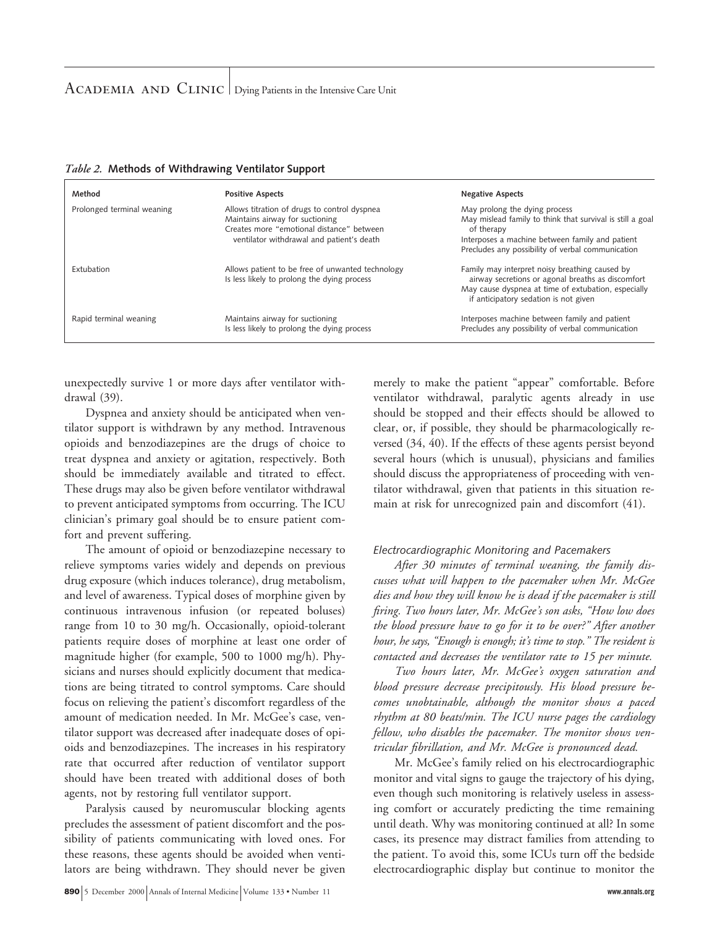| Method                     | <b>Positive Aspects</b>                                                                                                                                                   | <b>Negative Aspects</b>                                                                                                                                                                                          |
|----------------------------|---------------------------------------------------------------------------------------------------------------------------------------------------------------------------|------------------------------------------------------------------------------------------------------------------------------------------------------------------------------------------------------------------|
| Prolonged terminal weaning | Allows titration of drugs to control dyspnea<br>Maintains airway for suctioning<br>Creates more "emotional distance" between<br>ventilator withdrawal and patient's death | May prolong the dying process<br>May mislead family to think that survival is still a goal<br>of therapy<br>Interposes a machine between family and patient<br>Precludes any possibility of verbal communication |
| Extubation                 | Allows patient to be free of unwanted technology<br>Is less likely to prolong the dying process                                                                           | Family may interpret noisy breathing caused by<br>airway secretions or agonal breaths as discomfort<br>May cause dyspnea at time of extubation, especially<br>if anticipatory sedation is not given              |
| Rapid terminal weaning     | Maintains airway for suctioning<br>Is less likely to prolong the dying process                                                                                            | Interposes machine between family and patient<br>Precludes any possibility of verbal communication                                                                                                               |

## *Table 2.* **Methods of Withdrawing Ventilator Support**

unexpectedly survive 1 or more days after ventilator withdrawal (39).

Dyspnea and anxiety should be anticipated when ventilator support is withdrawn by any method. Intravenous opioids and benzodiazepines are the drugs of choice to treat dyspnea and anxiety or agitation, respectively. Both should be immediately available and titrated to effect. These drugs may also be given before ventilator withdrawal to prevent anticipated symptoms from occurring. The ICU clinician's primary goal should be to ensure patient comfort and prevent suffering.

The amount of opioid or benzodiazepine necessary to relieve symptoms varies widely and depends on previous drug exposure (which induces tolerance), drug metabolism, and level of awareness. Typical doses of morphine given by continuous intravenous infusion (or repeated boluses) range from 10 to 30 mg/h. Occasionally, opioid-tolerant patients require doses of morphine at least one order of magnitude higher (for example, 500 to 1000 mg/h). Physicians and nurses should explicitly document that medications are being titrated to control symptoms. Care should focus on relieving the patient's discomfort regardless of the amount of medication needed. In Mr. McGee's case, ventilator support was decreased after inadequate doses of opioids and benzodiazepines. The increases in his respiratory rate that occurred after reduction of ventilator support should have been treated with additional doses of both agents, not by restoring full ventilator support.

Paralysis caused by neuromuscular blocking agents precludes the assessment of patient discomfort and the possibility of patients communicating with loved ones. For these reasons, these agents should be avoided when ventilators are being withdrawn. They should never be given merely to make the patient "appear" comfortable. Before ventilator withdrawal, paralytic agents already in use should be stopped and their effects should be allowed to clear, or, if possible, they should be pharmacologically reversed (34, 40). If the effects of these agents persist beyond several hours (which is unusual), physicians and families should discuss the appropriateness of proceeding with ventilator withdrawal, given that patients in this situation remain at risk for unrecognized pain and discomfort (41).

## *Electrocardiographic Monitoring and Pacemakers*

*After 30 minutes of terminal weaning, the family discusses what will happen to the pacemaker when Mr. McGee dies and how they will know he is dead if the pacemaker is still firing. Two hours later, Mr. McGee's son asks, "How low does the blood pressure have to go for it to be over?" After another hour, he says, "Enough is enough; it's time to stop." The resident is contacted and decreases the ventilator rate to 15 per minute.*

*Two hours later, Mr. McGee's oxygen saturation and blood pressure decrease precipitously. His blood pressure becomes unobtainable, although the monitor shows a paced rhythm at 80 beats/min. The ICU nurse pages the cardiology fellow, who disables the pacemaker. The monitor shows ventricular fibrillation, and Mr. McGee is pronounced dead.*

Mr. McGee's family relied on his electrocardiographic monitor and vital signs to gauge the trajectory of his dying, even though such monitoring is relatively useless in assessing comfort or accurately predicting the time remaining until death. Why was monitoring continued at all? In some cases, its presence may distract families from attending to the patient. To avoid this, some ICUs turn off the bedside electrocardiographic display but continue to monitor the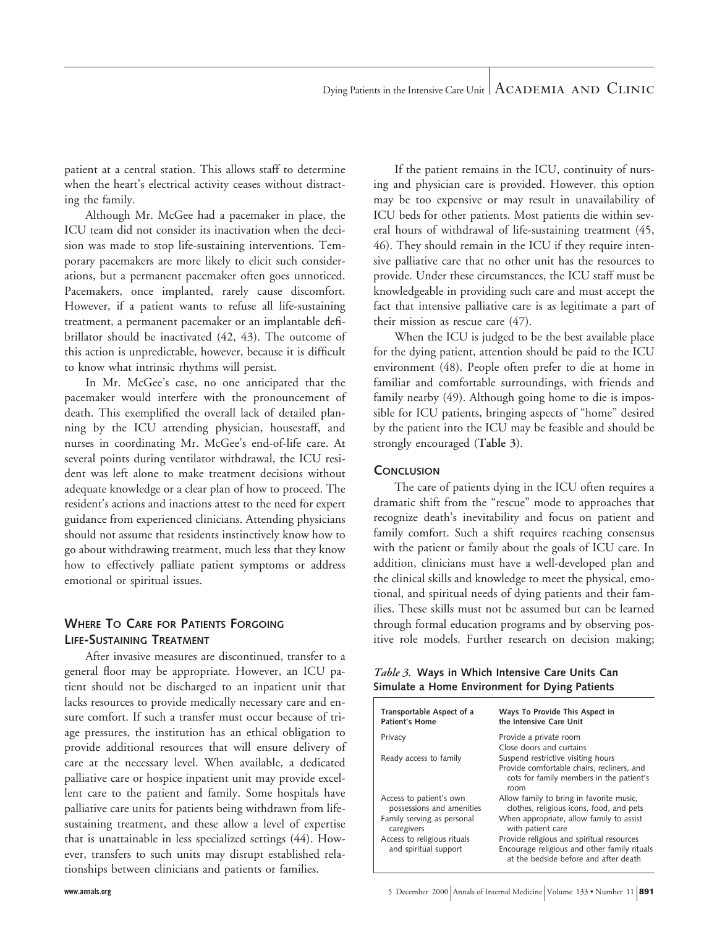patient at a central station. This allows staff to determine when the heart's electrical activity ceases without distracting the family.

Although Mr. McGee had a pacemaker in place, the ICU team did not consider its inactivation when the decision was made to stop life-sustaining interventions. Temporary pacemakers are more likely to elicit such considerations, but a permanent pacemaker often goes unnoticed. Pacemakers, once implanted, rarely cause discomfort. However, if a patient wants to refuse all life-sustaining treatment, a permanent pacemaker or an implantable defibrillator should be inactivated (42, 43). The outcome of this action is unpredictable, however, because it is difficult to know what intrinsic rhythms will persist.

In Mr. McGee's case, no one anticipated that the pacemaker would interfere with the pronouncement of death. This exemplified the overall lack of detailed planning by the ICU attending physician, housestaff, and nurses in coordinating Mr. McGee's end-of-life care. At several points during ventilator withdrawal, the ICU resident was left alone to make treatment decisions without adequate knowledge or a clear plan of how to proceed. The resident's actions and inactions attest to the need for expert guidance from experienced clinicians. Attending physicians should not assume that residents instinctively know how to go about withdrawing treatment, much less that they know how to effectively palliate patient symptoms or address emotional or spiritual issues.

# **WHERE TO CARE FOR PATIENTS FORGOING LIFE-SUSTAINING TREATMENT**

After invasive measures are discontinued, transfer to a general floor may be appropriate. However, an ICU patient should not be discharged to an inpatient unit that lacks resources to provide medically necessary care and ensure comfort. If such a transfer must occur because of triage pressures, the institution has an ethical obligation to provide additional resources that will ensure delivery of care at the necessary level. When available, a dedicated palliative care or hospice inpatient unit may provide excellent care to the patient and family. Some hospitals have palliative care units for patients being withdrawn from lifesustaining treatment, and these allow a level of expertise that is unattainable in less specialized settings (44). However, transfers to such units may disrupt established relationships between clinicians and patients or families.

If the patient remains in the ICU, continuity of nursing and physician care is provided. However, this option may be too expensive or may result in unavailability of ICU beds for other patients. Most patients die within several hours of withdrawal of life-sustaining treatment (45, 46). They should remain in the ICU if they require intensive palliative care that no other unit has the resources to provide. Under these circumstances, the ICU staff must be knowledgeable in providing such care and must accept the fact that intensive palliative care is as legitimate a part of their mission as rescue care (47).

When the ICU is judged to be the best available place for the dying patient, attention should be paid to the ICU environment (48). People often prefer to die at home in familiar and comfortable surroundings, with friends and family nearby (49). Although going home to die is impossible for ICU patients, bringing aspects of "home" desired by the patient into the ICU may be feasible and should be strongly encouraged (**Table 3**).

## **CONCLUSION**

The care of patients dying in the ICU often requires a dramatic shift from the "rescue" mode to approaches that recognize death's inevitability and focus on patient and family comfort. Such a shift requires reaching consensus with the patient or family about the goals of ICU care. In addition, clinicians must have a well-developed plan and the clinical skills and knowledge to meet the physical, emotional, and spiritual needs of dying patients and their families. These skills must not be assumed but can be learned through formal education programs and by observing positive role models. Further research on decision making;

*Table 3.* **Ways in Which Intensive Care Units Can Simulate a Home Environment for Dying Patients**

| Transportable Aspect of a<br><b>Patient's Home</b>   | Ways To Provide This Aspect in<br>the Intensive Care Unit                                                                            |
|------------------------------------------------------|--------------------------------------------------------------------------------------------------------------------------------------|
| Privacy                                              | Provide a private room<br>Close doors and curtains                                                                                   |
| Ready access to family                               | Suspend restrictive visiting hours<br>Provide comfortable chairs, recliners, and<br>cots for family members in the patient's<br>room |
| Access to patient's own<br>possessions and amenities | Allow family to bring in favorite music,<br>clothes, religious icons, food, and pets                                                 |
| Family serving as personal<br>caregivers             | When appropriate, allow family to assist<br>with patient care                                                                        |
| Access to religious rituals<br>and spiritual support | Provide religious and spiritual resources<br>Encourage religious and other family rituals<br>at the bedside before and after death   |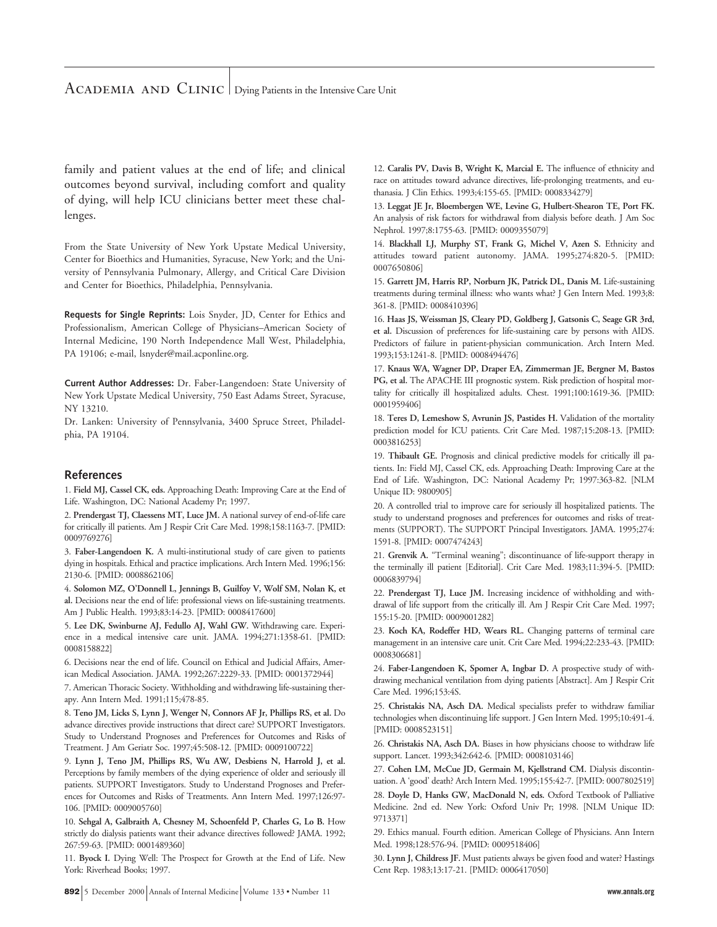## ACADEMIA AND CLINIC Dying Patients in the Intensive Care Unit

family and patient values at the end of life; and clinical outcomes beyond survival, including comfort and quality of dying, will help ICU clinicians better meet these challenges.

From the State University of New York Upstate Medical University, Center for Bioethics and Humanities, Syracuse, New York; and the University of Pennsylvania Pulmonary, Allergy, and Critical Care Division and Center for Bioethics, Philadelphia, Pennsylvania.

**Requests for Single Reprints:** Lois Snyder, JD, Center for Ethics and Professionalism, American College of Physicians–American Society of Internal Medicine, 190 North Independence Mall West, Philadelphia, PA 19106; e-mail, lsnyder@mail.acponline.org.

**Current Author Addresses:** Dr. Faber-Langendoen: State University of New York Upstate Medical University, 750 East Adams Street, Syracuse, NY 13210.

Dr. Lanken: University of Pennsylvania, 3400 Spruce Street, Philadelphia, PA 19104.

#### **References**

1. **Field MJ, Cassel CK, eds.** Approaching Death: Improving Care at the End of Life. Washington, DC: National Academy Pr; 1997.

2. **Prendergast TJ, Claessens MT, Luce JM.** A national survey of end-of-life care for critically ill patients. Am J Respir Crit Care Med. 1998;158:1163-7. [PMID: 0009769276]

3. **Faber-Langendoen K.** A multi-institutional study of care given to patients dying in hospitals. Ethical and practice implications. Arch Intern Med. 1996;156: 2130-6. [PMID: 0008862106]

4. **Solomon MZ, O'Donnell L, Jennings B, Guilfoy V, Wolf SM, Nolan K, et al.** Decisions near the end of life: professional views on life-sustaining treatments. Am J Public Health. 1993;83:14-23. [PMID: 0008417600]

5. **Lee DK, Swinburne AJ, Fedullo AJ, Wahl GW.** Withdrawing care. Experience in a medical intensive care unit. JAMA. 1994;271:1358-61. [PMID: 0008158822]

6. Decisions near the end of life. Council on Ethical and Judicial Affairs, American Medical Association. JAMA. 1992;267:2229-33. [PMID: 0001372944]

7. American Thoracic Society. Withholding and withdrawing life-sustaining therapy. Ann Intern Med. 1991;115;478-85.

8. **Teno JM, Licks S, Lynn J, Wenger N, Connors AF Jr, Phillips RS, et al.** Do advance directives provide instructions that direct care? SUPPORT Investigators. Study to Understand Prognoses and Preferences for Outcomes and Risks of Treatment. J Am Geriatr Soc. 1997;45:508-12. [PMID: 0009100722]

9. **Lynn J, Teno JM, Phillips RS, Wu AW, Desbiens N, Harrold J, et al.** Perceptions by family members of the dying experience of older and seriously ill patients. SUPPORT Investigators. Study to Understand Prognoses and Preferences for Outcomes and Risks of Treatments. Ann Intern Med. 1997;126:97- 106. [PMID: 0009005760]

10. **Sehgal A, Galbraith A, Chesney M, Schoenfeld P, Charles G, Lo B.** How strictly do dialysis patients want their advance directives followed? JAMA. 1992; 267:59-63. [PMID: 0001489360]

11. **Byock I.** Dying Well: The Prospect for Growth at the End of Life. New York: Riverhead Books; 1997.

12. **Caralis PV, Davis B, Wright K, Marcial E.** The influence of ethnicity and race on attitudes toward advance directives, life-prolonging treatments, and euthanasia. J Clin Ethics. 1993;4:155-65. [PMID: 0008334279]

13. **Leggat JE Jr, Bloembergen WE, Levine G, Hulbert-Shearon TE, Port FK.** An analysis of risk factors for withdrawal from dialysis before death. J Am Soc Nephrol. 1997;8:1755-63. [PMID: 0009355079]

14. **Blackhall LJ, Murphy ST, Frank G, Michel V, Azen S.** Ethnicity and attitudes toward patient autonomy. JAMA. 1995;274:820-5. [PMID: 0007650806]

15. **Garrett JM, Harris RP, Norburn JK, Patrick DL, Danis M.** Life-sustaining treatments during terminal illness: who wants what? J Gen Intern Med. 1993;8: 361-8. [PMID: 0008410396]

16. **Haas JS, Weissman JS, Cleary PD, Goldberg J, Gatsonis C, Seage GR 3rd, et al.** Discussion of preferences for life-sustaining care by persons with AIDS. Predictors of failure in patient-physician communication. Arch Intern Med. 1993;153:1241-8. [PMID: 0008494476]

17. **Knaus WA, Wagner DP, Draper EA, Zimmerman JE, Bergner M, Bastos PG, et al.** The APACHE III prognostic system. Risk prediction of hospital mortality for critically ill hospitalized adults. Chest. 1991;100:1619-36. [PMID: 0001959406]

18. **Teres D, Lemeshow S, Avrunin JS, Pastides H.** Validation of the mortality prediction model for ICU patients. Crit Care Med. 1987;15:208-13. [PMID: 0003816253]

19. **Thibault GE.** Prognosis and clinical predictive models for critically ill patients. In: Field MJ, Cassel CK, eds. Approaching Death: Improving Care at the End of Life. Washington, DC: National Academy Pr; 1997:363-82. [NLM Unique ID: 9800905]

20. A controlled trial to improve care for seriously ill hospitalized patients. The study to understand prognoses and preferences for outcomes and risks of treatments (SUPPORT). The SUPPORT Principal Investigators. JAMA. 1995;274: 1591-8. [PMID: 0007474243]

21. **Grenvik A.** "Terminal weaning"; discontinuance of life-support therapy in the terminally ill patient [Editorial]. Crit Care Med. 1983;11:394-5. [PMID: 0006839794]

22. **Prendergast TJ, Luce JM.** Increasing incidence of withholding and withdrawal of life support from the critically ill. Am J Respir Crit Care Med. 1997; 155:15-20. [PMID: 0009001282]

23. **Koch KA, Rodeffer HD, Wears RL.** Changing patterns of terminal care management in an intensive care unit. Crit Care Med. 1994;22:233-43. [PMID: 0008306681]

24. **Faber-Langendoen K, Spomer A, Ingbar D.** A prospective study of withdrawing mechanical ventilation from dying patients [Abstract]. Am J Respir Crit Care Med. 1996;153:4S.

25. **Christakis NA, Asch DA.** Medical specialists prefer to withdraw familiar technologies when discontinuing life support. J Gen Intern Med. 1995;10:491-4. [PMID: 0008523151]

26. **Christakis NA, Asch DA.** Biases in how physicians choose to withdraw life support. Lancet. 1993;342:642-6. [PMID: 0008103146]

27. **Cohen LM, McCue JD, Germain M, Kjellstrand CM.** Dialysis discontinuation. A 'good' death? Arch Intern Med. 1995;155:42-7. [PMID: 0007802519]

28. **Doyle D, Hanks GW, MacDonald N, eds.** Oxford Textbook of Palliative Medicine. 2nd ed. New York: Oxford Univ Pr; 1998. [NLM Unique ID: 9713371]

29. Ethics manual. Fourth edition. American College of Physicians. Ann Intern Med. 1998;128:576-94. [PMID: 0009518406]

30. **Lynn J, Childress JF.** Must patients always be given food and water? Hastings Cent Rep. 1983;13:17-21. [PMID: 0006417050]